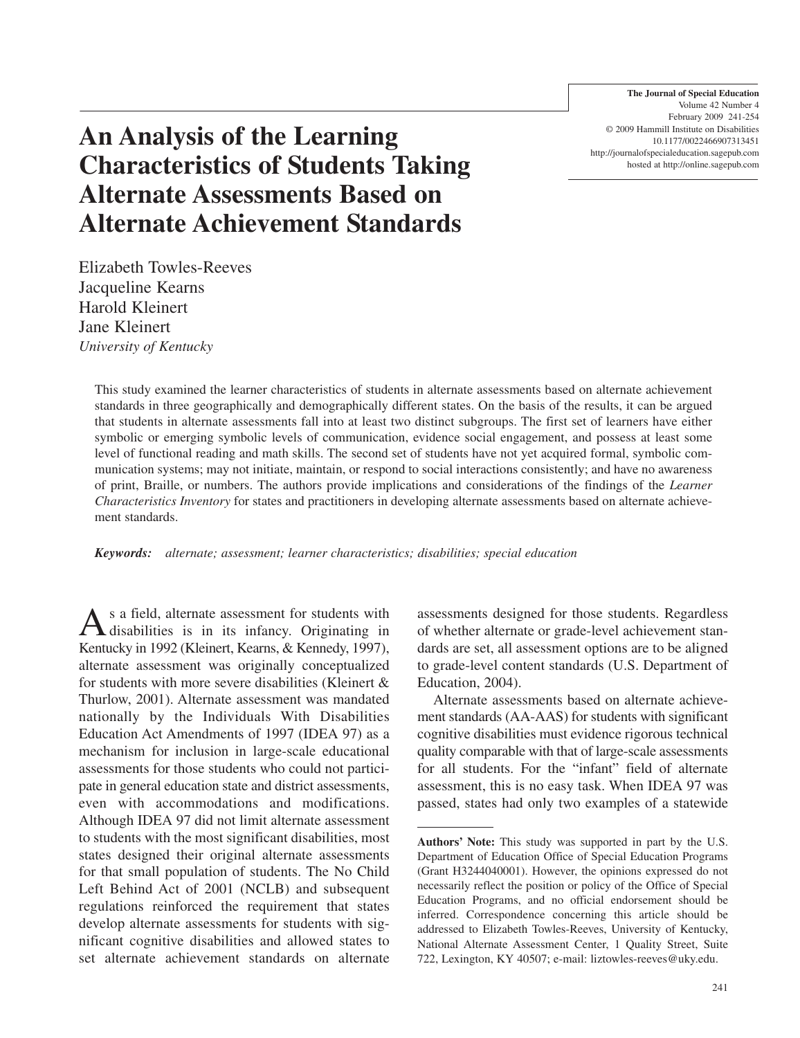**The Journal of Special Education** Volume 42 Number 4 February 2009 241-254 © 2009 Hammill Institute on Disabilities 10.1177/0022466907313451 http://journalofspecialeducation.sagepub.com hosted at http://online.sagepub.com

# **An Analysis of the Learning Characteristics of Students Taking Alternate Assessments Based on Alternate Achievement Standards**

Elizabeth Towles-Reeves Jacqueline Kearns Harold Kleinert Jane Kleinert *University of Kentucky*

This study examined the learner characteristics of students in alternate assessments based on alternate achievement standards in three geographically and demographically different states. On the basis of the results, it can be argued that students in alternate assessments fall into at least two distinct subgroups. The first set of learners have either symbolic or emerging symbolic levels of communication, evidence social engagement, and possess at least some level of functional reading and math skills. The second set of students have not yet acquired formal, symbolic communication systems; may not initiate, maintain, or respond to social interactions consistently; and have no awareness of print, Braille, or numbers. The authors provide implications and considerations of the findings of the *Learner Characteristics Inventory* for states and practitioners in developing alternate assessments based on alternate achievement standards.

*Keywords: alternate; assessment; learner characteristics; disabilities; special education*

As a field, alternate assessment for students with<br>disabilities is in its infancy. Originating in Kentucky in 1992 (Kleinert, Kearns, & Kennedy, 1997), alternate assessment was originally conceptualized for students with more severe disabilities (Kleinert & Thurlow, 2001). Alternate assessment was mandated nationally by the Individuals With Disabilities Education Act Amendments of 1997 (IDEA 97) as a mechanism for inclusion in large-scale educational assessments for those students who could not participate in general education state and district assessments, even with accommodations and modifications. Although IDEA 97 did not limit alternate assessment to students with the most significant disabilities, most states designed their original alternate assessments for that small population of students. The No Child Left Behind Act of 2001 (NCLB) and subsequent regulations reinforced the requirement that states develop alternate assessments for students with significant cognitive disabilities and allowed states to set alternate achievement standards on alternate

assessments designed for those students. Regardless of whether alternate or grade-level achievement standards are set, all assessment options are to be aligned to grade-level content standards (U.S. Department of Education, 2004).

Alternate assessments based on alternate achievement standards (AA-AAS) for students with significant cognitive disabilities must evidence rigorous technical quality comparable with that of large-scale assessments for all students. For the "infant" field of alternate assessment, this is no easy task. When IDEA 97 was passed, states had only two examples of a statewide

**Authors' Note:** This study was supported in part by the U.S. Department of Education Office of Special Education Programs (Grant H3244040001). However, the opinions expressed do not necessarily reflect the position or policy of the Office of Special Education Programs, and no official endorsement should be inferred. Correspondence concerning this article should be addressed to Elizabeth Towles-Reeves, University of Kentucky, National Alternate Assessment Center, 1 Quality Street, Suite 722, Lexington, KY 40507; e-mail: liztowles-reeves@uky.edu.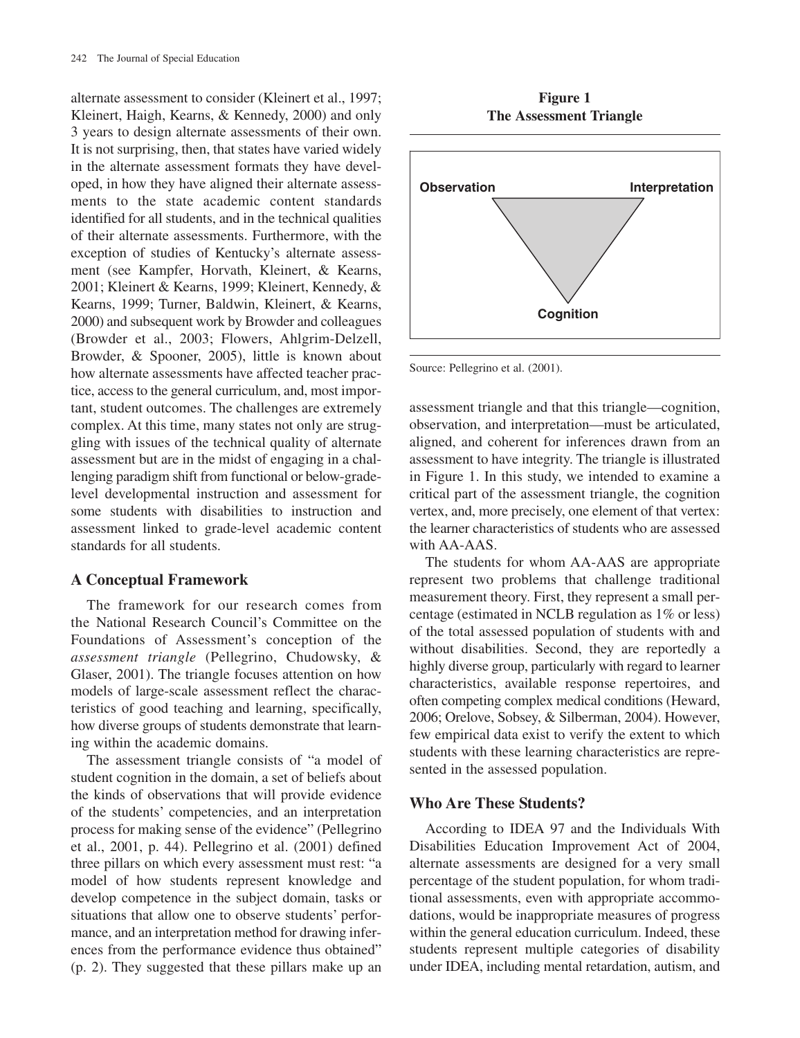alternate assessment to consider (Kleinert et al., 1997; Kleinert, Haigh, Kearns, & Kennedy, 2000) and only 3 years to design alternate assessments of their own. It is not surprising, then, that states have varied widely in the alternate assessment formats they have developed, in how they have aligned their alternate assessments to the state academic content standards identified for all students, and in the technical qualities of their alternate assessments. Furthermore, with the exception of studies of Kentucky's alternate assessment (see Kampfer, Horvath, Kleinert, & Kearns, 2001; Kleinert & Kearns, 1999; Kleinert, Kennedy, & Kearns, 1999; Turner, Baldwin, Kleinert, & Kearns, 2000) and subsequent work by Browder and colleagues (Browder et al., 2003; Flowers, Ahlgrim-Delzell, Browder, & Spooner, 2005), little is known about how alternate assessments have affected teacher practice, access to the general curriculum, and, most important, student outcomes. The challenges are extremely complex. At this time, many states not only are struggling with issues of the technical quality of alternate assessment but are in the midst of engaging in a challenging paradigm shift from functional or below-gradelevel developmental instruction and assessment for some students with disabilities to instruction and assessment linked to grade-level academic content standards for all students.

#### **A Conceptual Framework**

The framework for our research comes from the National Research Council's Committee on the Foundations of Assessment's conception of the *assessment triangle* (Pellegrino, Chudowsky, & Glaser, 2001). The triangle focuses attention on how models of large-scale assessment reflect the characteristics of good teaching and learning, specifically, how diverse groups of students demonstrate that learning within the academic domains.

The assessment triangle consists of "a model of student cognition in the domain, a set of beliefs about the kinds of observations that will provide evidence of the students' competencies, and an interpretation process for making sense of the evidence" (Pellegrino et al., 2001, p. 44). Pellegrino et al. (2001) defined three pillars on which every assessment must rest: "a model of how students represent knowledge and develop competence in the subject domain, tasks or situations that allow one to observe students' performance, and an interpretation method for drawing inferences from the performance evidence thus obtained" (p. 2). They suggested that these pillars make up an

**Figure 1 The Assessment Triangle**



Source: Pellegrino et al. (2001).

assessment triangle and that this triangle—cognition, observation, and interpretation—must be articulated, aligned, and coherent for inferences drawn from an assessment to have integrity. The triangle is illustrated in Figure 1. In this study, we intended to examine a critical part of the assessment triangle, the cognition vertex, and, more precisely, one element of that vertex: the learner characteristics of students who are assessed with AA-AAS.

The students for whom AA-AAS are appropriate represent two problems that challenge traditional measurement theory. First, they represent a small percentage (estimated in NCLB regulation as 1% or less) of the total assessed population of students with and without disabilities. Second, they are reportedly a highly diverse group, particularly with regard to learner characteristics, available response repertoires, and often competing complex medical conditions (Heward, 2006; Orelove, Sobsey, & Silberman, 2004). However, few empirical data exist to verify the extent to which students with these learning characteristics are represented in the assessed population.

# **Who Are These Students?**

According to IDEA 97 and the Individuals With Disabilities Education Improvement Act of 2004, alternate assessments are designed for a very small percentage of the student population, for whom traditional assessments, even with appropriate accommodations, would be inappropriate measures of progress within the general education curriculum. Indeed, these students represent multiple categories of disability under IDEA, including mental retardation, autism, and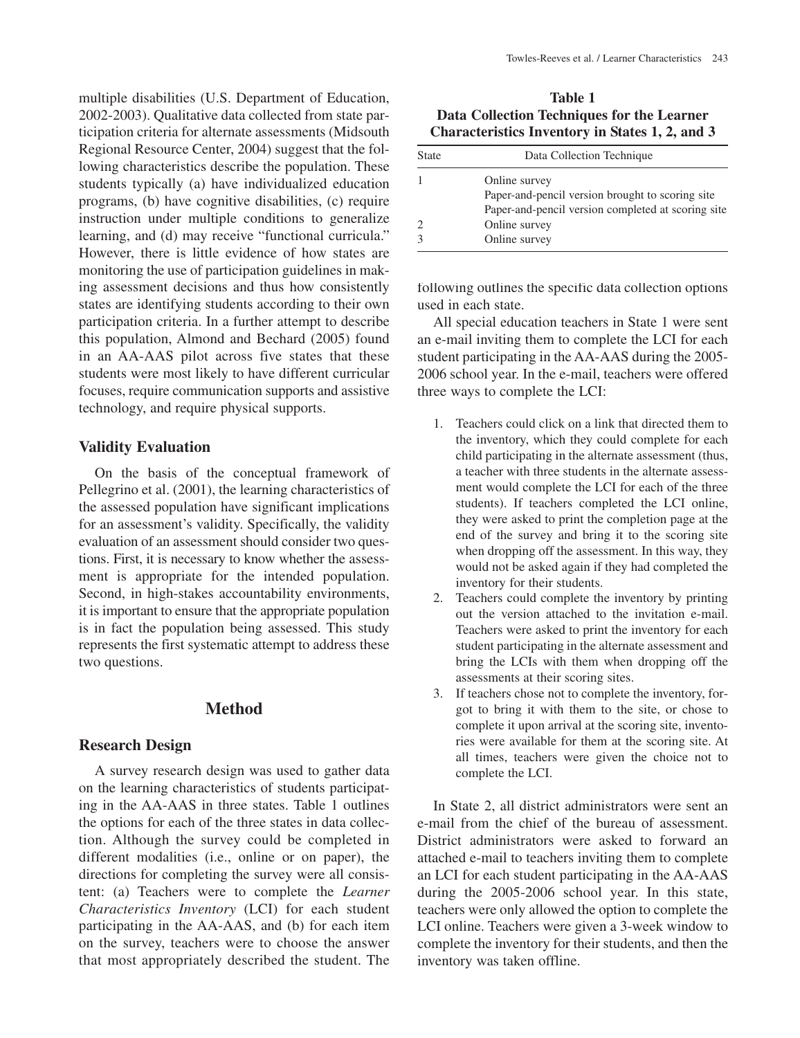multiple disabilities (U.S. Department of Education, 2002-2003). Qualitative data collected from state participation criteria for alternate assessments (Midsouth Regional Resource Center, 2004) suggest that the following characteristics describe the population. These students typically (a) have individualized education programs, (b) have cognitive disabilities, (c) require instruction under multiple conditions to generalize learning, and (d) may receive "functional curricula." However, there is little evidence of how states are monitoring the use of participation guidelines in making assessment decisions and thus how consistently states are identifying students according to their own participation criteria. In a further attempt to describe this population, Almond and Bechard (2005) found in an AA-AAS pilot across five states that these students were most likely to have different curricular focuses, require communication supports and assistive technology, and require physical supports.

#### **Validity Evaluation**

On the basis of the conceptual framework of Pellegrino et al. (2001), the learning characteristics of the assessed population have significant implications for an assessment's validity. Specifically, the validity evaluation of an assessment should consider two questions. First, it is necessary to know whether the assessment is appropriate for the intended population. Second, in high-stakes accountability environments, it is important to ensure that the appropriate population is in fact the population being assessed. This study represents the first systematic attempt to address these two questions.

# **Method**

#### **Research Design**

A survey research design was used to gather data on the learning characteristics of students participating in the AA-AAS in three states. Table 1 outlines the options for each of the three states in data collection. Although the survey could be completed in different modalities (i.e., online or on paper), the directions for completing the survey were all consistent: (a) Teachers were to complete the *Learner Characteristics Inventory* (LCI) for each student participating in the AA-AAS, and (b) for each item on the survey, teachers were to choose the answer that most appropriately described the student. The

**Table 1 Data Collection Techniques for the Learner Characteristics Inventory in States 1, 2, and 3**

| State | Data Collection Technique                          |
|-------|----------------------------------------------------|
|       | Online survey                                      |
|       | Paper-and-pencil version brought to scoring site   |
|       | Paper-and-pencil version completed at scoring site |
|       | Online survey                                      |
|       | Online survey                                      |
|       |                                                    |

following outlines the specific data collection options used in each state.

All special education teachers in State 1 were sent an e-mail inviting them to complete the LCI for each student participating in the AA-AAS during the 2005- 2006 school year. In the e-mail, teachers were offered three ways to complete the LCI:

- 1. Teachers could click on a link that directed them to the inventory, which they could complete for each child participating in the alternate assessment (thus, a teacher with three students in the alternate assessment would complete the LCI for each of the three students). If teachers completed the LCI online, they were asked to print the completion page at the end of the survey and bring it to the scoring site when dropping off the assessment. In this way, they would not be asked again if they had completed the inventory for their students.
- 2. Teachers could complete the inventory by printing out the version attached to the invitation e-mail. Teachers were asked to print the inventory for each student participating in the alternate assessment and bring the LCIs with them when dropping off the assessments at their scoring sites.
- 3. If teachers chose not to complete the inventory, forgot to bring it with them to the site, or chose to complete it upon arrival at the scoring site, inventories were available for them at the scoring site. At all times, teachers were given the choice not to complete the LCI.

In State 2, all district administrators were sent an e-mail from the chief of the bureau of assessment. District administrators were asked to forward an attached e-mail to teachers inviting them to complete an LCI for each student participating in the AA-AAS during the 2005-2006 school year. In this state, teachers were only allowed the option to complete the LCI online. Teachers were given a 3-week window to complete the inventory for their students, and then the inventory was taken offline.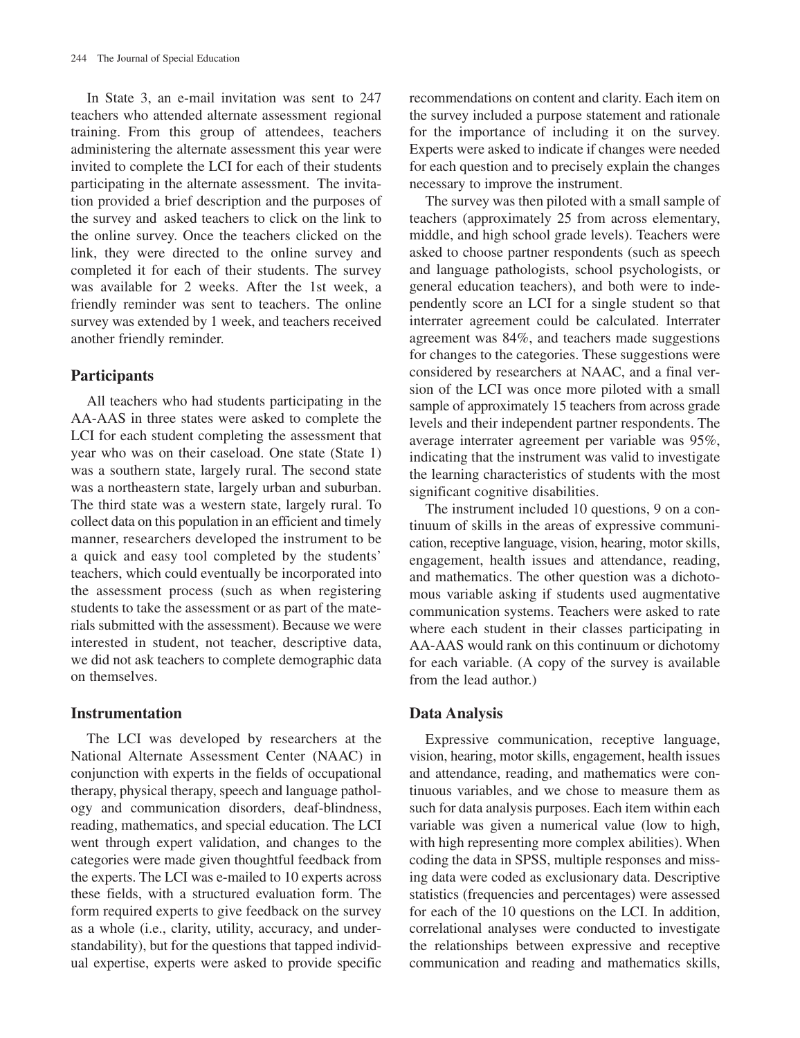In State 3, an e-mail invitation was sent to 247 teachers who attended alternate assessment regional training. From this group of attendees, teachers administering the alternate assessment this year were invited to complete the LCI for each of their students participating in the alternate assessment. The invitation provided a brief description and the purposes of the survey and asked teachers to click on the link to the online survey. Once the teachers clicked on the link, they were directed to the online survey and completed it for each of their students. The survey was available for 2 weeks. After the 1st week, a friendly reminder was sent to teachers. The online survey was extended by 1 week, and teachers received another friendly reminder.

# **Participants**

All teachers who had students participating in the AA-AAS in three states were asked to complete the LCI for each student completing the assessment that year who was on their caseload. One state (State 1) was a southern state, largely rural. The second state was a northeastern state, largely urban and suburban. The third state was a western state, largely rural. To collect data on this population in an efficient and timely manner, researchers developed the instrument to be a quick and easy tool completed by the students' teachers, which could eventually be incorporated into the assessment process (such as when registering students to take the assessment or as part of the materials submitted with the assessment). Because we were interested in student, not teacher, descriptive data, we did not ask teachers to complete demographic data on themselves.

## **Instrumentation**

The LCI was developed by researchers at the National Alternate Assessment Center (NAAC) in conjunction with experts in the fields of occupational therapy, physical therapy, speech and language pathology and communication disorders, deaf-blindness, reading, mathematics, and special education. The LCI went through expert validation, and changes to the categories were made given thoughtful feedback from the experts. The LCI was e-mailed to 10 experts across these fields, with a structured evaluation form. The form required experts to give feedback on the survey as a whole (i.e., clarity, utility, accuracy, and understandability), but for the questions that tapped individual expertise, experts were asked to provide specific recommendations on content and clarity. Each item on the survey included a purpose statement and rationale for the importance of including it on the survey. Experts were asked to indicate if changes were needed for each question and to precisely explain the changes necessary to improve the instrument.

The survey was then piloted with a small sample of teachers (approximately 25 from across elementary, middle, and high school grade levels). Teachers were asked to choose partner respondents (such as speech and language pathologists, school psychologists, or general education teachers), and both were to independently score an LCI for a single student so that interrater agreement could be calculated. Interrater agreement was 84%, and teachers made suggestions for changes to the categories. These suggestions were considered by researchers at NAAC, and a final version of the LCI was once more piloted with a small sample of approximately 15 teachers from across grade levels and their independent partner respondents. The average interrater agreement per variable was 95%, indicating that the instrument was valid to investigate the learning characteristics of students with the most significant cognitive disabilities.

The instrument included 10 questions, 9 on a continuum of skills in the areas of expressive communication, receptive language, vision, hearing, motor skills, engagement, health issues and attendance, reading, and mathematics. The other question was a dichotomous variable asking if students used augmentative communication systems. Teachers were asked to rate where each student in their classes participating in AA-AAS would rank on this continuum or dichotomy for each variable. (A copy of the survey is available from the lead author.)

## **Data Analysis**

Expressive communication, receptive language, vision, hearing, motor skills, engagement, health issues and attendance, reading, and mathematics were continuous variables, and we chose to measure them as such for data analysis purposes. Each item within each variable was given a numerical value (low to high, with high representing more complex abilities). When coding the data in SPSS, multiple responses and missing data were coded as exclusionary data. Descriptive statistics (frequencies and percentages) were assessed for each of the 10 questions on the LCI. In addition, correlational analyses were conducted to investigate the relationships between expressive and receptive communication and reading and mathematics skills,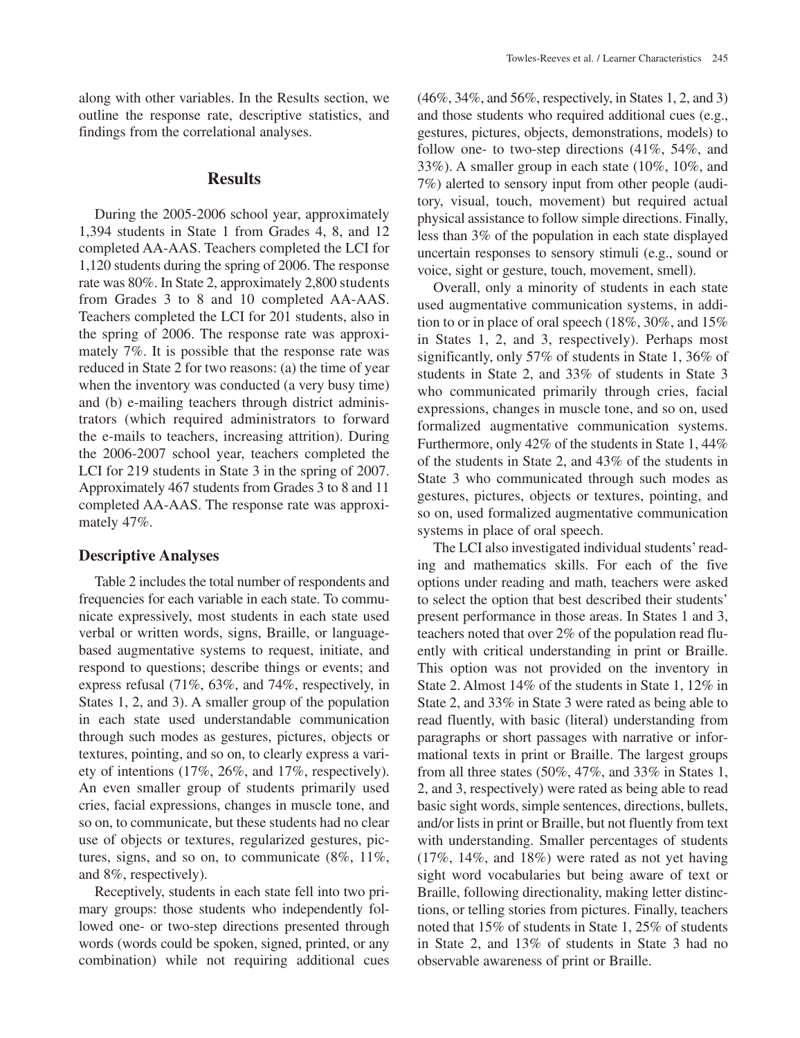along with other variables. In the Results section, we outline the response rate, descriptive statistics, and findings from the correlational analyses.

#### **Results**

During the 2005-2006 school year, approximately 1,394 students in State 1 from Grades 4, 8, and 12 completed AA-AAS. Teachers completed the LCI for 1,120 students during the spring of 2006. The response rate was 80%. In State 2, approximately 2,800 students from Grades 3 to 8 and 10 completed AA-AAS. Teachers completed the LCI for 201 students, also in the spring of 2006. The response rate was approximately 7%. It is possible that the response rate was reduced in State 2 for two reasons: (a) the time of year when the inventory was conducted (a very busy time) and (b) e-mailing teachers through district administrators (which required administrators to forward the e-mails to teachers, increasing attrition). During the 2006-2007 school year, teachers completed the LCI for 219 students in State 3 in the spring of 2007. Approximately 467 students from Grades 3 to 8 and 11 completed AA-AAS. The response rate was approximately 47%.

#### **Descriptive Analyses**

Table 2 includes the total number of respondents and frequencies for each variable in each state. To communicate expressively, most students in each state used verbal or written words, signs, Braille, or languagebased augmentative systems to request, initiate, and respond to questions; describe things or events; and express refusal (71%, 63%, and 74%, respectively, in States 1, 2, and 3). A smaller group of the population in each state used understandable communication through such modes as gestures, pictures, objects or textures, pointing, and so on, to clearly express a variety of intentions (17%, 26%, and 17%, respectively). An even smaller group of students primarily used cries, facial expressions, changes in muscle tone, and so on, to communicate, but these students had no clear use of objects or textures, regularized gestures, pictures, signs, and so on, to communicate (8%, 11%, and 8%, respectively).

Receptively, students in each state fell into two primary groups: those students who independently followed one- or two-step directions presented through words (words could be spoken, signed, printed, or any combination) while not requiring additional cues (46%, 34%, and 56%, respectively, in States 1, 2, and 3) and those students who required additional cues (e.g., gestures, pictures, objects, demonstrations, models) to follow one- to two-step directions (41%, 54%, and 33%). A smaller group in each state (10%, 10%, and 7%) alerted to sensory input from other people (auditory, visual, touch, movement) but required actual physical assistance to follow simple directions. Finally, less than 3% of the population in each state displayed uncertain responses to sensory stimuli (e.g., sound or voice, sight or gesture, touch, movement, smell).

Overall, only a minority of students in each state used augmentative communication systems, in addition to or in place of oral speech (18%, 30%, and 15% in States 1, 2, and 3, respectively). Perhaps most significantly, only 57% of students in State 1, 36% of students in State 2, and 33% of students in State 3 who communicated primarily through cries, facial expressions, changes in muscle tone, and so on, used formalized augmentative communication systems. Furthermore, only 42% of the students in State 1, 44% of the students in State 2, and 43% of the students in State 3 who communicated through such modes as gestures, pictures, objects or textures, pointing, and so on, used formalized augmentative communication systems in place of oral speech.

The LCI also investigated individual students' reading and mathematics skills. For each of the five options under reading and math, teachers were asked to select the option that best described their students' present performance in those areas. In States 1 and 3, teachers noted that over 2% of the population read fluently with critical understanding in print or Braille. This option was not provided on the inventory in State 2. Almost 14% of the students in State 1, 12% in State 2, and 33% in State 3 were rated as being able to read fluently, with basic (literal) understanding from paragraphs or short passages with narrative or informational texts in print or Braille. The largest groups from all three states (50%, 47%, and 33% in States 1, 2, and 3, respectively) were rated as being able to read basic sight words, simple sentences, directions, bullets, and/or lists in print or Braille, but not fluently from text with understanding. Smaller percentages of students (17%, 14%, and 18%) were rated as not yet having sight word vocabularies but being aware of text or Braille, following directionality, making letter distinctions, or telling stories from pictures. Finally, teachers noted that 15% of students in State 1, 25% of students in State 2, and 13% of students in State 3 had no observable awareness of print or Braille.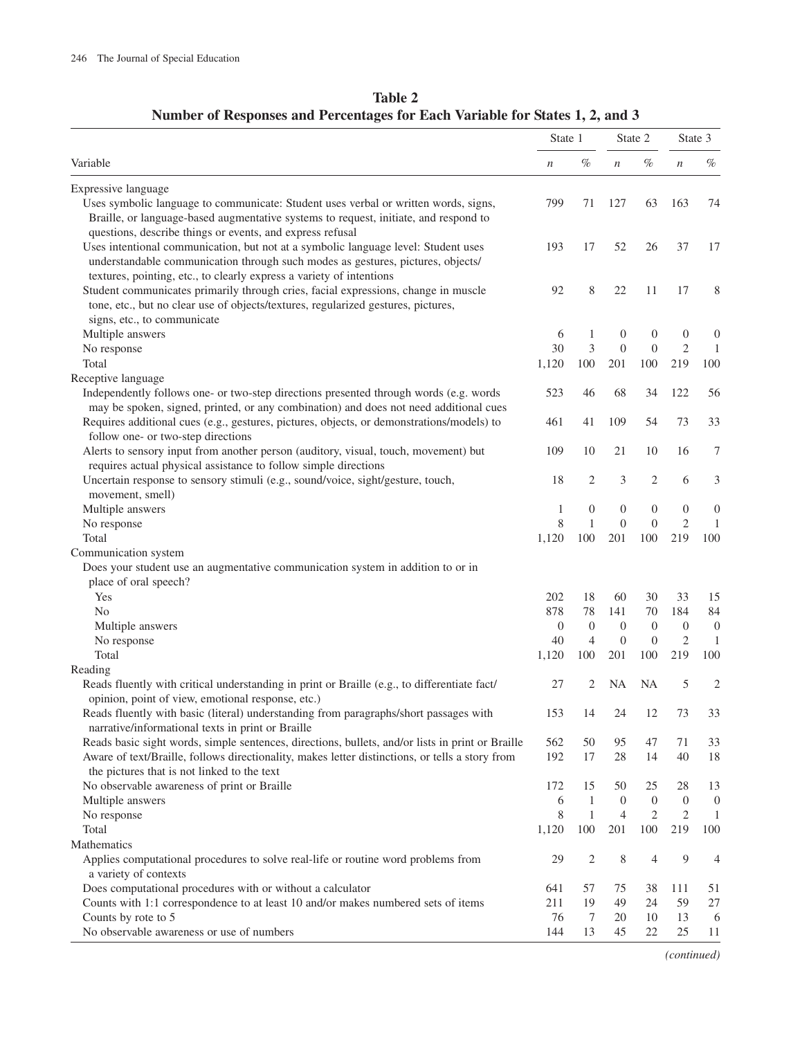| Variable                                                                                                                                                                                                                                                                                                   |                  | State 1        |                  | State 2          |                  | State 3          |  |
|------------------------------------------------------------------------------------------------------------------------------------------------------------------------------------------------------------------------------------------------------------------------------------------------------------|------------------|----------------|------------------|------------------|------------------|------------------|--|
|                                                                                                                                                                                                                                                                                                            |                  | $\%$           | $\boldsymbol{n}$ | $\%$             | $\,$             | $\%$             |  |
| Expressive language                                                                                                                                                                                                                                                                                        |                  |                |                  |                  |                  |                  |  |
| Uses symbolic language to communicate: Student uses verbal or written words, signs,<br>Braille, or language-based augmentative systems to request, initiate, and respond to                                                                                                                                | 799              | 71             | 127              | 63               | 163              | 74               |  |
| questions, describe things or events, and express refusal<br>Uses intentional communication, but not at a symbolic language level: Student uses<br>understandable communication through such modes as gestures, pictures, objects/<br>textures, pointing, etc., to clearly express a variety of intentions | 193              | 17             | 52               | 26               | 37               | 17               |  |
| Student communicates primarily through cries, facial expressions, change in muscle<br>tone, etc., but no clear use of objects/textures, regularized gestures, pictures,<br>signs, etc., to communicate                                                                                                     | 92               | 8              | 22               | 11               | 17               | 8                |  |
| Multiple answers                                                                                                                                                                                                                                                                                           | 6                | 1              | $\boldsymbol{0}$ | $\boldsymbol{0}$ | $\boldsymbol{0}$ | $\mathbf{0}$     |  |
| No response                                                                                                                                                                                                                                                                                                | 30               | 3              | $\mathbf{0}$     | $\overline{0}$   | $\mathfrak{2}$   | 1                |  |
| Total                                                                                                                                                                                                                                                                                                      | 1,120            | 100            | 201              | 100              | 219              | 100              |  |
| Receptive language                                                                                                                                                                                                                                                                                         |                  |                |                  |                  |                  |                  |  |
| Independently follows one- or two-step directions presented through words (e.g. words                                                                                                                                                                                                                      | 523              | 46             | 68               | 34               | 122              | 56               |  |
| may be spoken, signed, printed, or any combination) and does not need additional cues                                                                                                                                                                                                                      |                  |                |                  |                  |                  |                  |  |
| Requires additional cues (e.g., gestures, pictures, objects, or demonstrations/models) to<br>follow one- or two-step directions                                                                                                                                                                            | 461              | 41             | 109              | 54               | 73               | 33               |  |
| Alerts to sensory input from another person (auditory, visual, touch, movement) but                                                                                                                                                                                                                        | 109              | 10             | 21               | 10               | 16               | 7                |  |
| requires actual physical assistance to follow simple directions<br>Uncertain response to sensory stimuli (e.g., sound/voice, sight/gesture, touch,                                                                                                                                                         | 18               | 2              | 3                | 2                | 6                | 3                |  |
| movement, smell)                                                                                                                                                                                                                                                                                           |                  |                |                  |                  |                  |                  |  |
| Multiple answers                                                                                                                                                                                                                                                                                           | 1                | $\mathbf{0}$   | $\boldsymbol{0}$ | $\boldsymbol{0}$ | $\boldsymbol{0}$ | $\overline{0}$   |  |
| No response                                                                                                                                                                                                                                                                                                | 8                | 1              | $\mathbf{0}$     | $\boldsymbol{0}$ | $\mathfrak{2}$   | $\mathbf{1}$     |  |
| Total                                                                                                                                                                                                                                                                                                      | 1,120            | 100            | 201              | 100              | 219              | 100              |  |
| Communication system                                                                                                                                                                                                                                                                                       |                  |                |                  |                  |                  |                  |  |
| Does your student use an augmentative communication system in addition to or in                                                                                                                                                                                                                            |                  |                |                  |                  |                  |                  |  |
| place of oral speech?                                                                                                                                                                                                                                                                                      |                  |                |                  |                  |                  |                  |  |
| Yes                                                                                                                                                                                                                                                                                                        | 202              | 18             | 60               | 30               | 33               | 15               |  |
| N <sub>0</sub>                                                                                                                                                                                                                                                                                             | 878              | 78             | 141              | 70               | 184              | 84               |  |
| Multiple answers                                                                                                                                                                                                                                                                                           | $\boldsymbol{0}$ | $\theta$       | $\theta$         | $\theta$         | $\overline{0}$   | $\boldsymbol{0}$ |  |
| No response                                                                                                                                                                                                                                                                                                | 40               | $\overline{4}$ | $\boldsymbol{0}$ | $\boldsymbol{0}$ | $\mathfrak{2}$   | 1                |  |
| Total                                                                                                                                                                                                                                                                                                      | 1,120            | 100            | 201              | 100              | 219              | 100              |  |
| Reading                                                                                                                                                                                                                                                                                                    |                  |                |                  |                  |                  |                  |  |
| Reads fluently with critical understanding in print or Braille (e.g., to differentiate fact/<br>opinion, point of view, emotional response, etc.)                                                                                                                                                          | 27               | 2              | NA               | <b>NA</b>        | 5                | $\overline{2}$   |  |
| Reads fluently with basic (literal) understanding from paragraphs/short passages with<br>narrative/informational texts in print or Braille                                                                                                                                                                 | 153              | 14             | 24               | 12               | 73               | 33               |  |
| Reads basic sight words, simple sentences, directions, bullets, and/or lists in print or Braille                                                                                                                                                                                                           | 562              | 50             | 95               | 47               | 71               | 33               |  |
| Aware of text/Braille, follows directionality, makes letter distinctions, or tells a story from<br>the pictures that is not linked to the text                                                                                                                                                             | 192              | 17             | 28               | 14               | 40               | 18               |  |
| No observable awareness of print or Braille                                                                                                                                                                                                                                                                | 172              | 15             | 50               | 25               | 28               | 13               |  |
| Multiple answers                                                                                                                                                                                                                                                                                           | 6                | $\mathbf{1}$   | $\overline{0}$   | $\boldsymbol{0}$ | $\mathbf{0}$     | $\boldsymbol{0}$ |  |
| No response                                                                                                                                                                                                                                                                                                | 8                | $\mathbf{1}$   | $\overline{4}$   | 2                | 2                | 1                |  |
| Total                                                                                                                                                                                                                                                                                                      | 1,120            | 100            | 201              | 100              | 219              | 100              |  |
| Mathematics                                                                                                                                                                                                                                                                                                |                  |                |                  |                  |                  |                  |  |
| Applies computational procedures to solve real-life or routine word problems from<br>a variety of contexts                                                                                                                                                                                                 | 29               | $\overline{2}$ | 8                | 4                | 9                | 4                |  |
| Does computational procedures with or without a calculator                                                                                                                                                                                                                                                 | 641              | 57             | 75               | 38               | 111              | 51               |  |
| Counts with 1:1 correspondence to at least 10 and/or makes numbered sets of items                                                                                                                                                                                                                          | 211              | 19             | 49               | 24               | 59               | 27               |  |
| Counts by rote to 5                                                                                                                                                                                                                                                                                        | 76               | 7              | 20               | 10               | 13               | 6                |  |
| No observable awareness or use of numbers                                                                                                                                                                                                                                                                  | 144              | 13             | 45               | 22               | 25               | 11               |  |

**Table 2 Number of Responses and Percentages for Each Variable for States 1, 2, and 3**

*(continued)*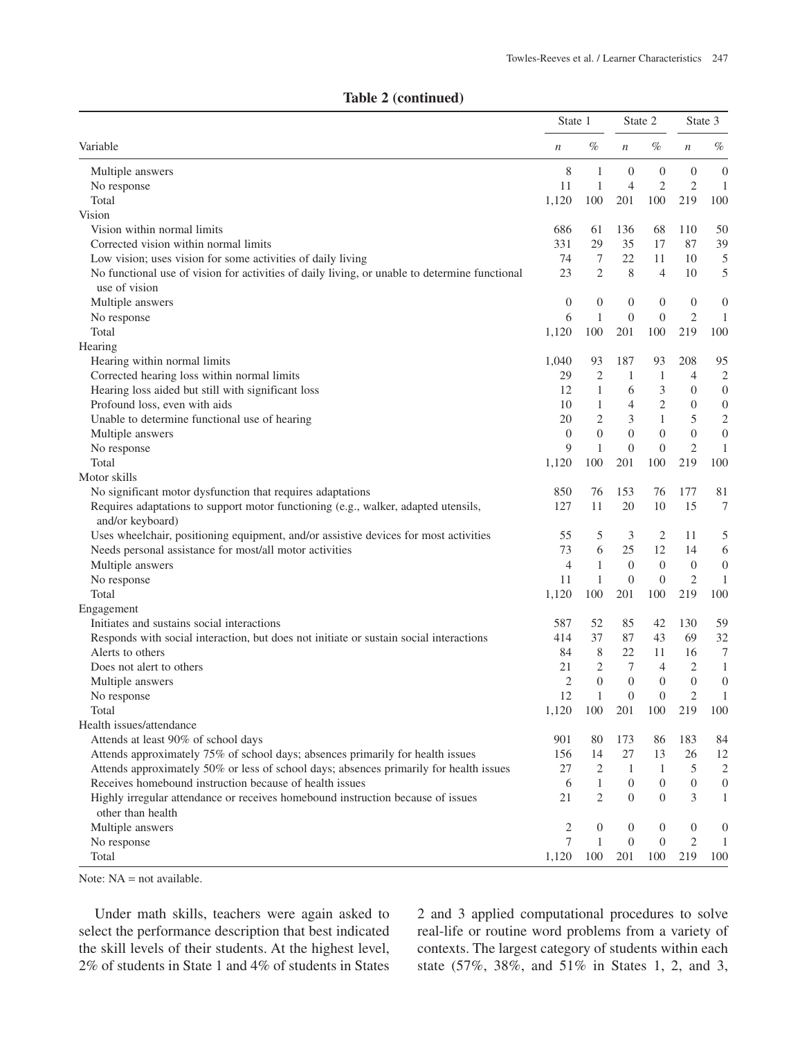| Table 2 (continued) |  |
|---------------------|--|
|---------------------|--|

|                                                                                               |                  | State 1          |                  | State 2        |                  | State 3          |  |
|-----------------------------------------------------------------------------------------------|------------------|------------------|------------------|----------------|------------------|------------------|--|
| Variable                                                                                      | $\boldsymbol{n}$ | %                | $\boldsymbol{n}$ | %              | $\boldsymbol{n}$ | %                |  |
| Multiple answers                                                                              | 8                | 1                | $\overline{0}$   | 0              | $\mathbf{0}$     | $\boldsymbol{0}$ |  |
| No response                                                                                   | 11               | $\mathbf{1}$     | $\overline{4}$   | $\mathfrak{2}$ | $\mathfrak{2}$   | $\mathbf{1}$     |  |
| Total                                                                                         | 1,120            | 100              | 201              | 100            | 219              | 100              |  |
| Vision                                                                                        |                  |                  |                  |                |                  |                  |  |
| Vision within normal limits                                                                   | 686              | 61               | 136              | 68             | 110              | 50               |  |
| Corrected vision within normal limits                                                         | 331              | 29               | 35               | 17             | 87               | 39               |  |
| Low vision; uses vision for some activities of daily living                                   | 74               | 7                | 22               | 11             | 10               | 5                |  |
| No functional use of vision for activities of daily living, or unable to determine functional | 23               | $\overline{2}$   | 8                | 4              | 10               | 5                |  |
| use of vision                                                                                 |                  |                  |                  |                |                  |                  |  |
| Multiple answers                                                                              | $\boldsymbol{0}$ | $\mathbf{0}$     | $\boldsymbol{0}$ | $\mathbf{0}$   | $\overline{0}$   | $\boldsymbol{0}$ |  |
| No response                                                                                   | 6                | $\mathbf{1}$     | $\overline{0}$   | $\theta$       | $\mathfrak{2}$   | $\mathbf{1}$     |  |
| Total                                                                                         | 1,120            | 100              | 201              | 100            | 219              | 100              |  |
| Hearing                                                                                       |                  |                  |                  |                |                  |                  |  |
| Hearing within normal limits                                                                  | 1,040            | 93               | 187              | 93             | 208              | 95               |  |
| Corrected hearing loss within normal limits                                                   | 29               | 2                | 1                | 1              | $\overline{4}$   | $\overline{2}$   |  |
| Hearing loss aided but still with significant loss                                            | 12               | 1                | 6                | 3              | $\boldsymbol{0}$ | $\boldsymbol{0}$ |  |
| Profound loss, even with aids                                                                 | 10               | $\mathbf{1}$     | $\overline{4}$   | $\overline{2}$ | $\theta$         | $\boldsymbol{0}$ |  |
| Unable to determine functional use of hearing                                                 | 20               | 2                | 3                | $\mathbf{1}$   | 5                | $\sqrt{2}$       |  |
| Multiple answers                                                                              | $\theta$         | $\overline{0}$   | $\overline{0}$   | $\overline{0}$ | $\boldsymbol{0}$ | $\boldsymbol{0}$ |  |
| No response                                                                                   | 9                | $\mathbf{1}$     | $\theta$         | $\theta$       | $\overline{2}$   | $\mathbf{1}$     |  |
| Total                                                                                         | 1,120            | 100              | 201              | 100            | 219              | 100              |  |
| Motor skills                                                                                  |                  |                  |                  |                |                  |                  |  |
| No significant motor dysfunction that requires adaptations                                    | 850              | 76               | 153              | 76             | 177              | 81               |  |
| Requires adaptations to support motor functioning (e.g., walker, adapted utensils,            | 127              | 11               | 20               | 10             | 15               | $\tau$           |  |
| and/or keyboard)                                                                              |                  |                  |                  |                |                  |                  |  |
| Uses wheelchair, positioning equipment, and/or assistive devices for most activities          | 55               | 5                | 3                | 2              | 11               | 5                |  |
| Needs personal assistance for most/all motor activities                                       | 73               | 6                | 25               | 12             | 14               | 6                |  |
| Multiple answers                                                                              | $\overline{4}$   | $\mathbf{1}$     | $\boldsymbol{0}$ | $\theta$       | $\boldsymbol{0}$ | $\mathbf{0}$     |  |
| No response                                                                                   | 11               | $\mathbf{1}$     | $\overline{0}$   | $\theta$       | $\mathfrak{2}$   | $\mathbf{1}$     |  |
| Total                                                                                         | 1,120            | 100              | 201              | 100            | 219              | 100              |  |
| Engagement                                                                                    |                  |                  |                  |                |                  |                  |  |
| Initiates and sustains social interactions                                                    | 587              | 52               | 85               | 42             | 130              | 59               |  |
| Responds with social interaction, but does not initiate or sustain social interactions        | 414              | 37               | 87               | 43             | 69               | 32               |  |
| Alerts to others                                                                              | 84               | 8                | 22               | 11             | 16               | $\tau$           |  |
| Does not alert to others                                                                      | 21               | 2                | 7                | $\overline{4}$ | 2                | $\mathbf{1}$     |  |
| Multiple answers                                                                              | $\overline{c}$   | $\overline{0}$   | $\overline{0}$   | $\overline{0}$ | $\boldsymbol{0}$ | $\boldsymbol{0}$ |  |
| No response                                                                                   | 12               | 1                | $\overline{0}$   | $\overline{0}$ | $\overline{2}$   | $\mathbf{1}$     |  |
| Total                                                                                         | 1,120            | 100              | 201              | 100            | 219              | 100              |  |
| Health issues/attendance                                                                      |                  |                  |                  |                |                  |                  |  |
| Attends at least 90% of school days                                                           | 901              | 80               | 173              | 86             | 183              | 84               |  |
| Attends approximately 75% of school days; absences primarily for health issues                | 156              | 14               | 27               | 13             | 26               | 12               |  |
| Attends approximately 50% or less of school days; absences primarily for health issues        | 27               | 2                | $\mathbf{1}$     | 1              | 5                | $\sqrt{2}$       |  |
| Receives homebound instruction because of health issues                                       | 6                | 1                | $\mathbf{0}$     | 0              | $\mathbf{0}$     | $\boldsymbol{0}$ |  |
| Highly irregular attendance or receives homebound instruction because of issues               | 21               | $\overline{2}$   | $\overline{0}$   | $\Omega$       | 3                | $\mathbf{1}$     |  |
| other than health                                                                             |                  |                  |                  |                |                  |                  |  |
| Multiple answers                                                                              | $\sqrt{2}$       | $\boldsymbol{0}$ | $\boldsymbol{0}$ | $\mathbf{0}$   | $\boldsymbol{0}$ | $\boldsymbol{0}$ |  |
| No response                                                                                   | 7                | $\mathbf{1}$     | $\boldsymbol{0}$ | $\theta$       | $\mathfrak{2}$   | $\mathbf{1}$     |  |
| Total                                                                                         | 1,120            | 100              | 201              | 100            | 219              | 100              |  |

Note:  $NA = not available$ .

Under math skills, teachers were again asked to select the performance description that best indicated the skill levels of their students. At the highest level, 2% of students in State 1 and 4% of students in States 2 and 3 applied computational procedures to solve real-life or routine word problems from a variety of contexts. The largest category of students within each state (57%, 38%, and 51% in States 1, 2, and 3,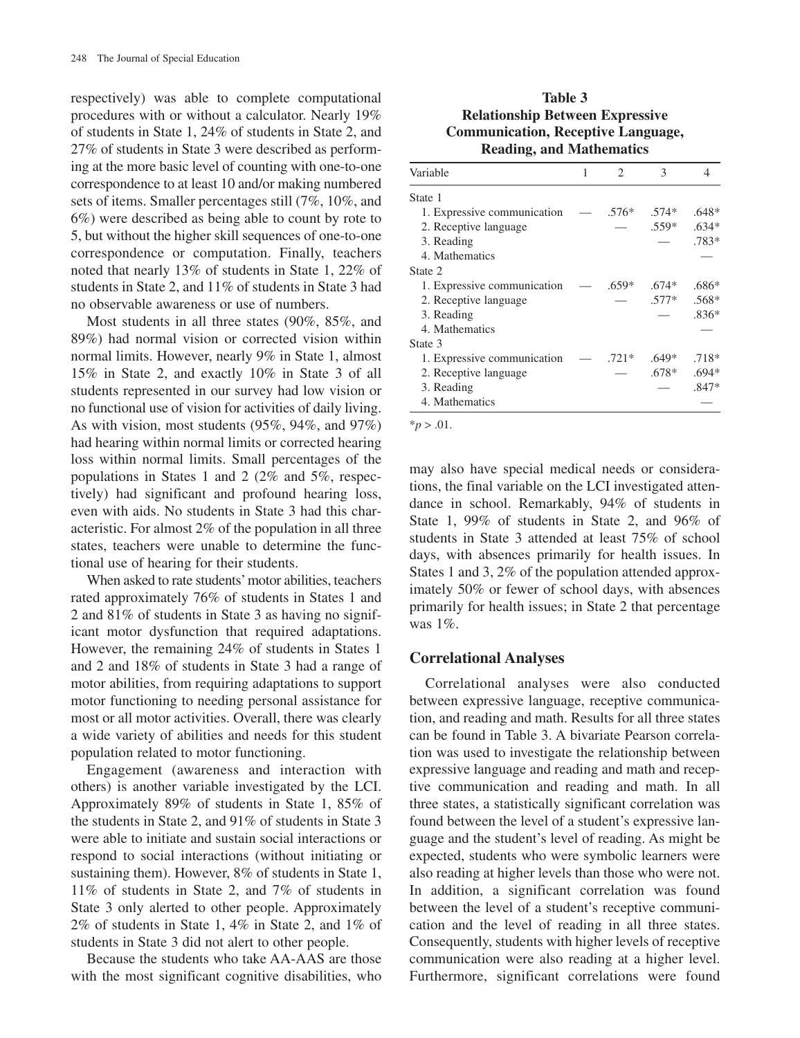respectively) was able to complete computational procedures with or without a calculator. Nearly 19% of students in State 1, 24% of students in State 2, and 27% of students in State 3 were described as performing at the more basic level of counting with one-to-one correspondence to at least 10 and/or making numbered sets of items. Smaller percentages still (7%, 10%, and 6%) were described as being able to count by rote to 5, but without the higher skill sequences of one-to-one correspondence or computation. Finally, teachers noted that nearly 13% of students in State 1, 22% of students in State 2, and 11% of students in State 3 had no observable awareness or use of numbers.

Most students in all three states (90%, 85%, and 89%) had normal vision or corrected vision within normal limits. However, nearly 9% in State 1, almost 15% in State 2, and exactly 10% in State 3 of all students represented in our survey had low vision or no functional use of vision for activities of daily living. As with vision, most students (95%, 94%, and 97%) had hearing within normal limits or corrected hearing loss within normal limits. Small percentages of the populations in States 1 and 2 (2% and 5%, respectively) had significant and profound hearing loss, even with aids. No students in State 3 had this characteristic. For almost 2% of the population in all three states, teachers were unable to determine the functional use of hearing for their students.

When asked to rate students'motor abilities, teachers rated approximately 76% of students in States 1 and 2 and 81% of students in State 3 as having no significant motor dysfunction that required adaptations. However, the remaining 24% of students in States 1 and 2 and 18% of students in State 3 had a range of motor abilities, from requiring adaptations to support motor functioning to needing personal assistance for most or all motor activities. Overall, there was clearly a wide variety of abilities and needs for this student population related to motor functioning.

Engagement (awareness and interaction with others) is another variable investigated by the LCI. Approximately 89% of students in State 1, 85% of the students in State 2, and 91% of students in State 3 were able to initiate and sustain social interactions or respond to social interactions (without initiating or sustaining them). However, 8% of students in State 1, 11% of students in State 2, and 7% of students in State 3 only alerted to other people. Approximately 2% of students in State 1, 4% in State 2, and 1% of students in State 3 did not alert to other people.

Because the students who take AA-AAS are those with the most significant cognitive disabilities, who

# **Table 3 Relationship Between Expressive Communication, Receptive Language, Reading, and Mathematics**

| Variable                    | 1 | 2       | 3       | 4       |
|-----------------------------|---|---------|---------|---------|
| State 1                     |   |         |         |         |
| 1. Expressive communication |   | .576*   | $.574*$ | $.648*$ |
| 2. Receptive language       |   |         | $.559*$ | $.634*$ |
| 3. Reading                  |   |         |         | $.783*$ |
| 4. Mathematics              |   |         |         |         |
| State 2                     |   |         |         |         |
| 1. Expressive communication |   | $.659*$ | $.674*$ | $.686*$ |
| 2. Receptive language       |   |         | $.577*$ | $.568*$ |
| 3. Reading                  |   |         |         | $.836*$ |
| 4. Mathematics              |   |         |         |         |
| State 3                     |   |         |         |         |
| 1. Expressive communication |   | $.721*$ | .649*   | $.718*$ |
| 2. Receptive language       |   |         | .678*   | $.694*$ |
| 3. Reading                  |   |         |         | $.847*$ |
| 4. Mathematics              |   |         |         |         |

 $*_{p} > .01$ .

may also have special medical needs or considerations, the final variable on the LCI investigated attendance in school. Remarkably, 94% of students in State 1, 99% of students in State 2, and 96% of students in State 3 attended at least 75% of school days, with absences primarily for health issues. In States 1 and 3, 2% of the population attended approximately 50% or fewer of school days, with absences primarily for health issues; in State 2 that percentage was 1%.

## **Correlational Analyses**

Correlational analyses were also conducted between expressive language, receptive communication, and reading and math. Results for all three states can be found in Table 3. A bivariate Pearson correlation was used to investigate the relationship between expressive language and reading and math and receptive communication and reading and math. In all three states, a statistically significant correlation was found between the level of a student's expressive language and the student's level of reading. As might be expected, students who were symbolic learners were also reading at higher levels than those who were not. In addition, a significant correlation was found between the level of a student's receptive communication and the level of reading in all three states. Consequently, students with higher levels of receptive communication were also reading at a higher level. Furthermore, significant correlations were found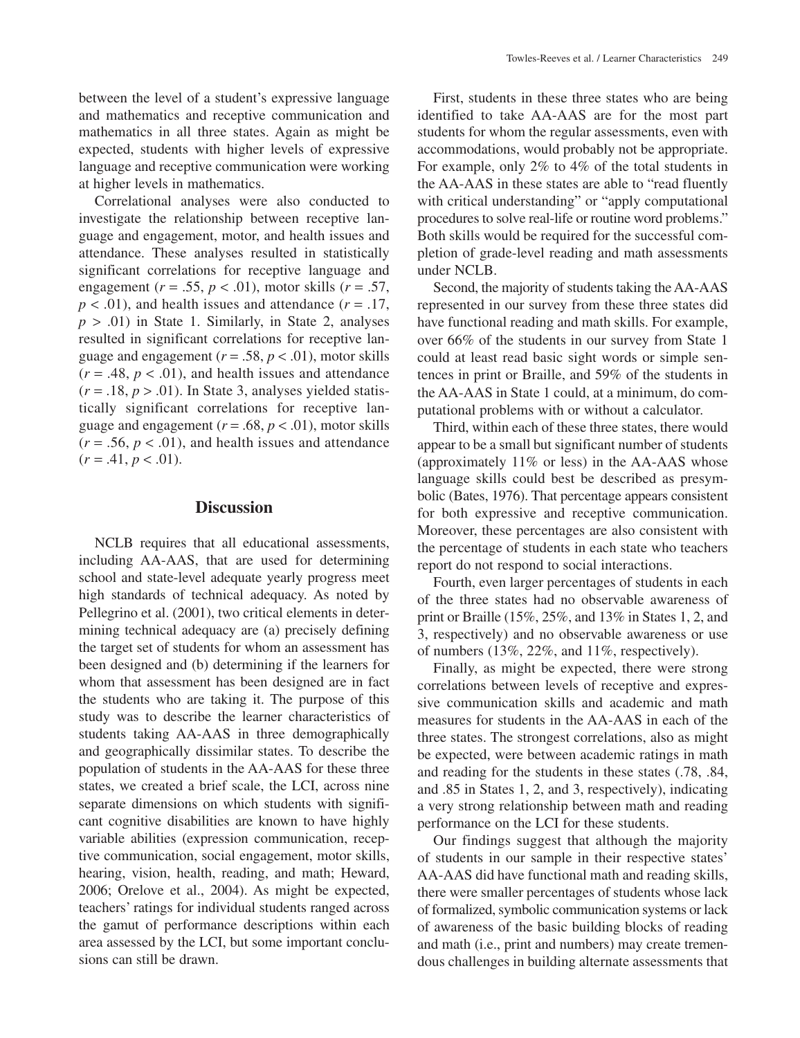between the level of a student's expressive language and mathematics and receptive communication and mathematics in all three states. Again as might be expected, students with higher levels of expressive language and receptive communication were working at higher levels in mathematics.

Correlational analyses were also conducted to investigate the relationship between receptive language and engagement, motor, and health issues and attendance. These analyses resulted in statistically significant correlations for receptive language and engagement ( $r = .55$ ,  $p < .01$ ), motor skills ( $r = .57$ ,  $p < .01$ ), and health issues and attendance ( $r = .17$ ,  $p > .01$ ) in State 1. Similarly, in State 2, analyses resulted in significant correlations for receptive language and engagement  $(r = .58, p < .01)$ , motor skills  $(r = .48, p < .01)$ , and health issues and attendance  $(r = .18, p > .01)$ . In State 3, analyses yielded statistically significant correlations for receptive language and engagement  $(r = .68, p < .01)$ , motor skills  $(r = .56, p < .01)$ , and health issues and attendance  $(r = .41, p < .01).$ 

#### **Discussion**

NCLB requires that all educational assessments, including AA-AAS, that are used for determining school and state-level adequate yearly progress meet high standards of technical adequacy. As noted by Pellegrino et al. (2001), two critical elements in determining technical adequacy are (a) precisely defining the target set of students for whom an assessment has been designed and (b) determining if the learners for whom that assessment has been designed are in fact the students who are taking it. The purpose of this study was to describe the learner characteristics of students taking AA-AAS in three demographically and geographically dissimilar states. To describe the population of students in the AA-AAS for these three states, we created a brief scale, the LCI, across nine separate dimensions on which students with significant cognitive disabilities are known to have highly variable abilities (expression communication, receptive communication, social engagement, motor skills, hearing, vision, health, reading, and math; Heward, 2006; Orelove et al., 2004). As might be expected, teachers' ratings for individual students ranged across the gamut of performance descriptions within each area assessed by the LCI, but some important conclusions can still be drawn.

First, students in these three states who are being identified to take AA-AAS are for the most part students for whom the regular assessments, even with accommodations, would probably not be appropriate. For example, only 2% to 4% of the total students in the AA-AAS in these states are able to "read fluently with critical understanding" or "apply computational procedures to solve real-life or routine word problems." Both skills would be required for the successful completion of grade-level reading and math assessments under NCLB.

Second, the majority of students taking the AA-AAS represented in our survey from these three states did have functional reading and math skills. For example, over 66% of the students in our survey from State 1 could at least read basic sight words or simple sentences in print or Braille, and 59% of the students in the AA-AAS in State 1 could, at a minimum, do computational problems with or without a calculator.

Third, within each of these three states, there would appear to be a small but significant number of students (approximately 11% or less) in the AA-AAS whose language skills could best be described as presymbolic (Bates, 1976). That percentage appears consistent for both expressive and receptive communication. Moreover, these percentages are also consistent with the percentage of students in each state who teachers report do not respond to social interactions.

Fourth, even larger percentages of students in each of the three states had no observable awareness of print or Braille (15%, 25%, and 13% in States 1, 2, and 3, respectively) and no observable awareness or use of numbers (13%, 22%, and 11%, respectively).

Finally, as might be expected, there were strong correlations between levels of receptive and expressive communication skills and academic and math measures for students in the AA-AAS in each of the three states. The strongest correlations, also as might be expected, were between academic ratings in math and reading for the students in these states (.78, .84, and .85 in States 1, 2, and 3, respectively), indicating a very strong relationship between math and reading performance on the LCI for these students.

Our findings suggest that although the majority of students in our sample in their respective states' AA-AAS did have functional math and reading skills, there were smaller percentages of students whose lack of formalized, symbolic communication systems or lack of awareness of the basic building blocks of reading and math (i.e., print and numbers) may create tremendous challenges in building alternate assessments that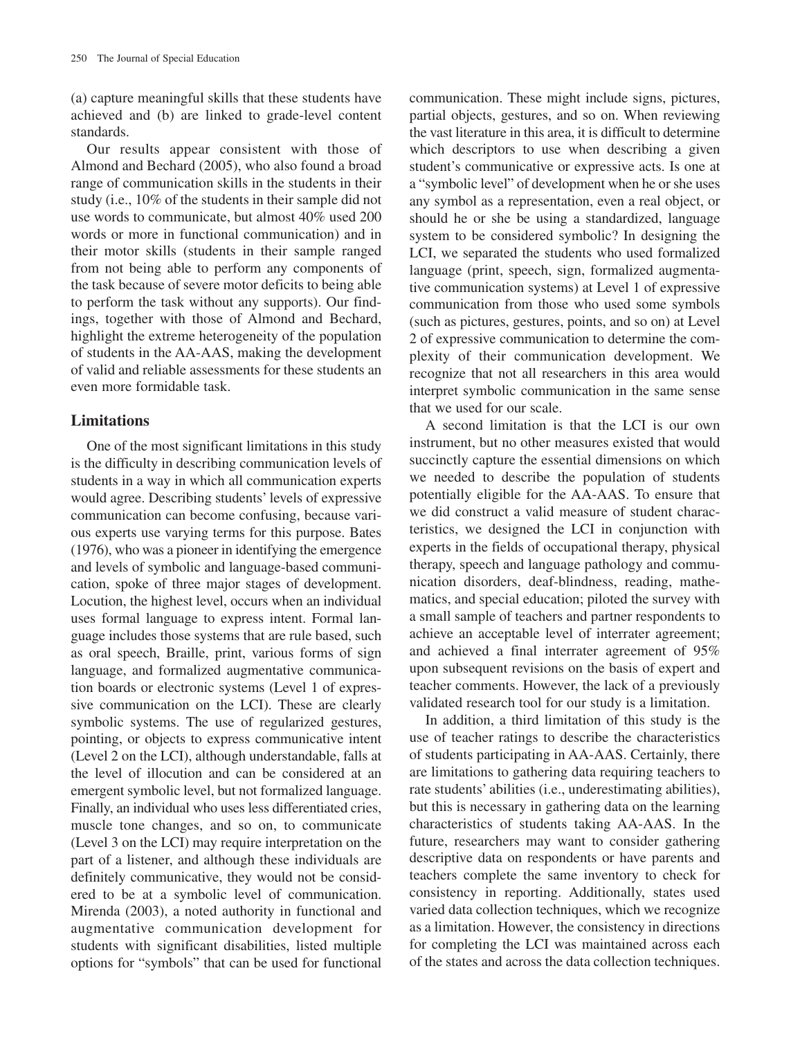(a) capture meaningful skills that these students have achieved and (b) are linked to grade-level content standards.

Our results appear consistent with those of Almond and Bechard (2005), who also found a broad range of communication skills in the students in their study (i.e., 10% of the students in their sample did not use words to communicate, but almost 40% used 200 words or more in functional communication) and in their motor skills (students in their sample ranged from not being able to perform any components of the task because of severe motor deficits to being able to perform the task without any supports). Our findings, together with those of Almond and Bechard, highlight the extreme heterogeneity of the population of students in the AA-AAS, making the development of valid and reliable assessments for these students an even more formidable task.

## **Limitations**

One of the most significant limitations in this study is the difficulty in describing communication levels of students in a way in which all communication experts would agree. Describing students' levels of expressive communication can become confusing, because various experts use varying terms for this purpose. Bates (1976), who was a pioneer in identifying the emergence and levels of symbolic and language-based communication, spoke of three major stages of development. Locution, the highest level, occurs when an individual uses formal language to express intent. Formal language includes those systems that are rule based, such as oral speech, Braille, print, various forms of sign language, and formalized augmentative communication boards or electronic systems (Level 1 of expressive communication on the LCI). These are clearly symbolic systems. The use of regularized gestures, pointing, or objects to express communicative intent (Level 2 on the LCI), although understandable, falls at the level of illocution and can be considered at an emergent symbolic level, but not formalized language. Finally, an individual who uses less differentiated cries, muscle tone changes, and so on, to communicate (Level 3 on the LCI) may require interpretation on the part of a listener, and although these individuals are definitely communicative, they would not be considered to be at a symbolic level of communication. Mirenda (2003), a noted authority in functional and augmentative communication development for students with significant disabilities, listed multiple options for "symbols" that can be used for functional

communication. These might include signs, pictures, partial objects, gestures, and so on. When reviewing the vast literature in this area, it is difficult to determine which descriptors to use when describing a given student's communicative or expressive acts. Is one at a "symbolic level" of development when he or she uses any symbol as a representation, even a real object, or should he or she be using a standardized, language system to be considered symbolic? In designing the LCI, we separated the students who used formalized language (print, speech, sign, formalized augmentative communication systems) at Level 1 of expressive communication from those who used some symbols (such as pictures, gestures, points, and so on) at Level 2 of expressive communication to determine the complexity of their communication development. We recognize that not all researchers in this area would interpret symbolic communication in the same sense that we used for our scale.

A second limitation is that the LCI is our own instrument, but no other measures existed that would succinctly capture the essential dimensions on which we needed to describe the population of students potentially eligible for the AA-AAS. To ensure that we did construct a valid measure of student characteristics, we designed the LCI in conjunction with experts in the fields of occupational therapy, physical therapy, speech and language pathology and communication disorders, deaf-blindness, reading, mathematics, and special education; piloted the survey with a small sample of teachers and partner respondents to achieve an acceptable level of interrater agreement; and achieved a final interrater agreement of 95% upon subsequent revisions on the basis of expert and teacher comments. However, the lack of a previously validated research tool for our study is a limitation.

In addition, a third limitation of this study is the use of teacher ratings to describe the characteristics of students participating in AA-AAS. Certainly, there are limitations to gathering data requiring teachers to rate students' abilities (i.e., underestimating abilities), but this is necessary in gathering data on the learning characteristics of students taking AA-AAS. In the future, researchers may want to consider gathering descriptive data on respondents or have parents and teachers complete the same inventory to check for consistency in reporting. Additionally, states used varied data collection techniques, which we recognize as a limitation. However, the consistency in directions for completing the LCI was maintained across each of the states and across the data collection techniques.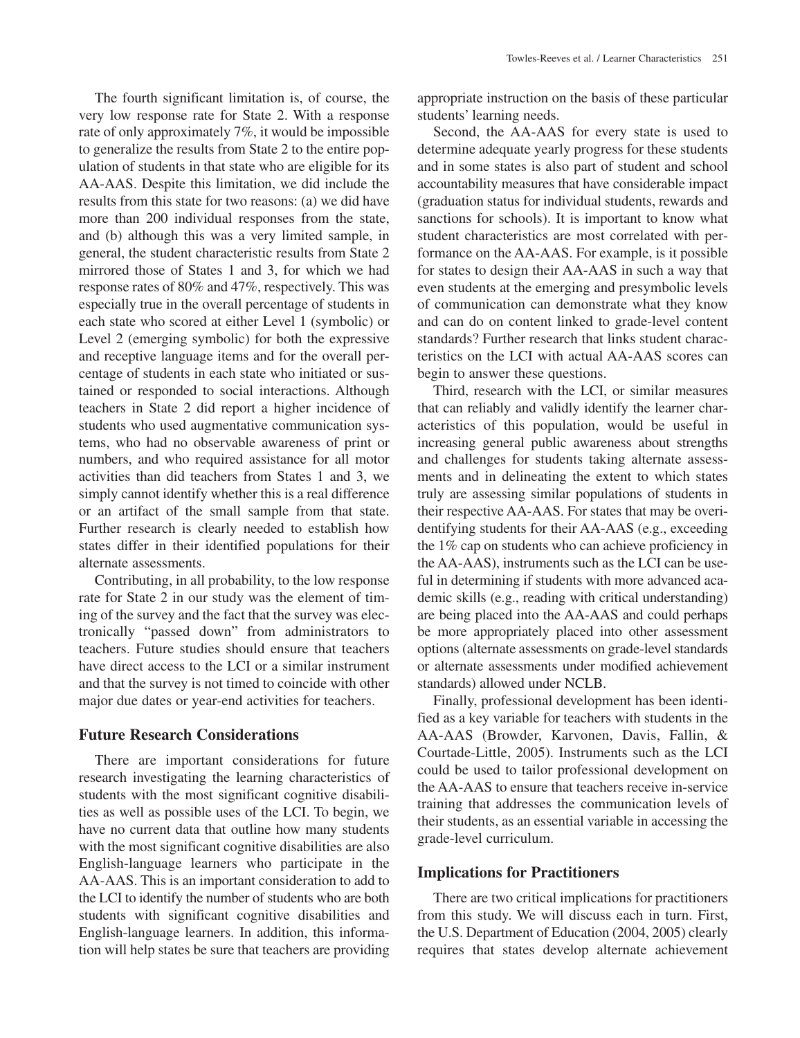The fourth significant limitation is, of course, the very low response rate for State 2. With a response rate of only approximately 7%, it would be impossible to generalize the results from State 2 to the entire population of students in that state who are eligible for its AA-AAS. Despite this limitation, we did include the results from this state for two reasons: (a) we did have more than 200 individual responses from the state, and (b) although this was a very limited sample, in general, the student characteristic results from State 2 mirrored those of States 1 and 3, for which we had response rates of 80% and 47%, respectively. This was especially true in the overall percentage of students in each state who scored at either Level 1 (symbolic) or Level 2 (emerging symbolic) for both the expressive and receptive language items and for the overall percentage of students in each state who initiated or sustained or responded to social interactions. Although teachers in State 2 did report a higher incidence of students who used augmentative communication systems, who had no observable awareness of print or numbers, and who required assistance for all motor activities than did teachers from States 1 and 3, we simply cannot identify whether this is a real difference or an artifact of the small sample from that state. Further research is clearly needed to establish how states differ in their identified populations for their alternate assessments.

Contributing, in all probability, to the low response rate for State 2 in our study was the element of timing of the survey and the fact that the survey was electronically "passed down" from administrators to teachers. Future studies should ensure that teachers have direct access to the LCI or a similar instrument and that the survey is not timed to coincide with other major due dates or year-end activities for teachers.

## **Future Research Considerations**

There are important considerations for future research investigating the learning characteristics of students with the most significant cognitive disabilities as well as possible uses of the LCI. To begin, we have no current data that outline how many students with the most significant cognitive disabilities are also English-language learners who participate in the AA-AAS. This is an important consideration to add to the LCI to identify the number of students who are both students with significant cognitive disabilities and English-language learners. In addition, this information will help states be sure that teachers are providing

appropriate instruction on the basis of these particular students' learning needs.

Second, the AA-AAS for every state is used to determine adequate yearly progress for these students and in some states is also part of student and school accountability measures that have considerable impact (graduation status for individual students, rewards and sanctions for schools). It is important to know what student characteristics are most correlated with performance on the AA-AAS. For example, is it possible for states to design their AA-AAS in such a way that even students at the emerging and presymbolic levels of communication can demonstrate what they know and can do on content linked to grade-level content standards? Further research that links student characteristics on the LCI with actual AA-AAS scores can begin to answer these questions.

Third, research with the LCI, or similar measures that can reliably and validly identify the learner characteristics of this population, would be useful in increasing general public awareness about strengths and challenges for students taking alternate assessments and in delineating the extent to which states truly are assessing similar populations of students in their respective AA-AAS. For states that may be overidentifying students for their AA-AAS (e.g., exceeding the 1% cap on students who can achieve proficiency in the AA-AAS), instruments such as the LCI can be useful in determining if students with more advanced academic skills (e.g., reading with critical understanding) are being placed into the AA-AAS and could perhaps be more appropriately placed into other assessment options (alternate assessments on grade-level standards or alternate assessments under modified achievement standards) allowed under NCLB.

Finally, professional development has been identified as a key variable for teachers with students in the AA-AAS (Browder, Karvonen, Davis, Fallin, & Courtade-Little, 2005). Instruments such as the LCI could be used to tailor professional development on the AA-AAS to ensure that teachers receive in-service training that addresses the communication levels of their students, as an essential variable in accessing the grade-level curriculum.

#### **Implications for Practitioners**

There are two critical implications for practitioners from this study. We will discuss each in turn. First, the U.S. Department of Education (2004, 2005) clearly requires that states develop alternate achievement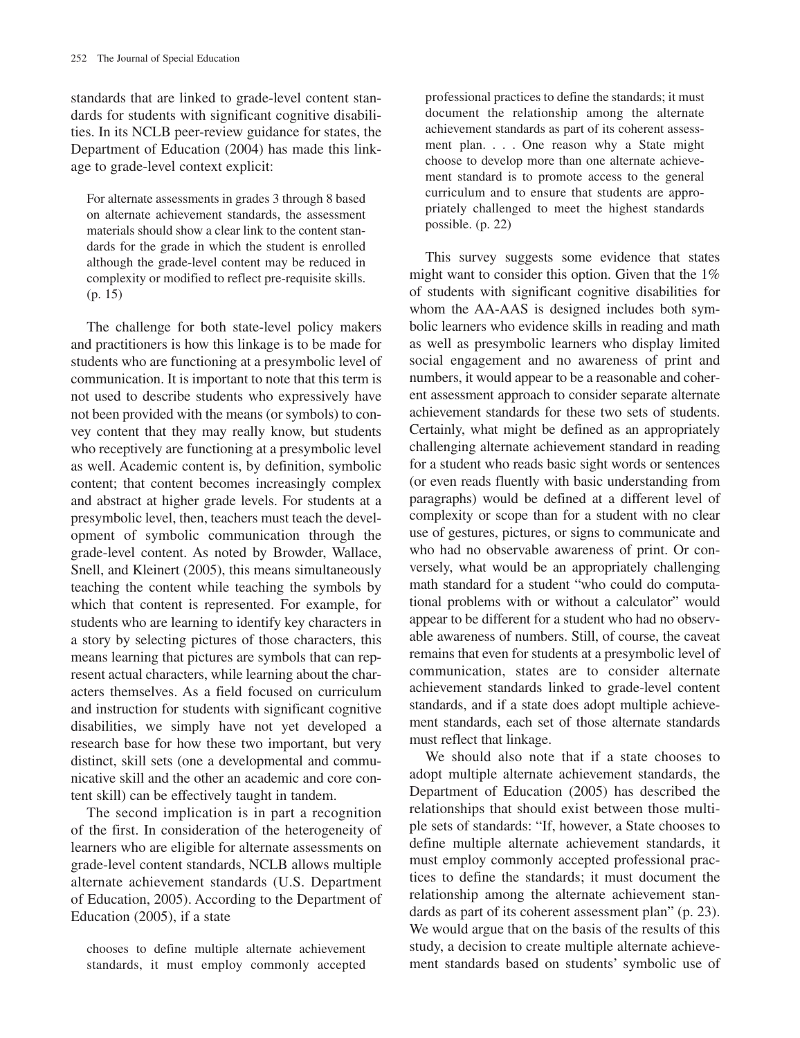standards that are linked to grade-level content standards for students with significant cognitive disabilities. In its NCLB peer-review guidance for states, the Department of Education (2004) has made this linkage to grade-level context explicit:

For alternate assessments in grades 3 through 8 based on alternate achievement standards, the assessment materials should show a clear link to the content standards for the grade in which the student is enrolled although the grade-level content may be reduced in complexity or modified to reflect pre-requisite skills. (p. 15)

The challenge for both state-level policy makers and practitioners is how this linkage is to be made for students who are functioning at a presymbolic level of communication. It is important to note that this term is not used to describe students who expressively have not been provided with the means (or symbols) to convey content that they may really know, but students who receptively are functioning at a presymbolic level as well. Academic content is, by definition, symbolic content; that content becomes increasingly complex and abstract at higher grade levels. For students at a presymbolic level, then, teachers must teach the development of symbolic communication through the grade-level content. As noted by Browder, Wallace, Snell, and Kleinert (2005), this means simultaneously teaching the content while teaching the symbols by which that content is represented. For example, for students who are learning to identify key characters in a story by selecting pictures of those characters, this means learning that pictures are symbols that can represent actual characters, while learning about the characters themselves. As a field focused on curriculum and instruction for students with significant cognitive disabilities, we simply have not yet developed a research base for how these two important, but very distinct, skill sets (one a developmental and communicative skill and the other an academic and core content skill) can be effectively taught in tandem.

The second implication is in part a recognition of the first. In consideration of the heterogeneity of learners who are eligible for alternate assessments on grade-level content standards, NCLB allows multiple alternate achievement standards (U.S. Department of Education, 2005). According to the Department of Education (2005), if a state

chooses to define multiple alternate achievement standards, it must employ commonly accepted professional practices to define the standards; it must document the relationship among the alternate achievement standards as part of its coherent assessment plan.... One reason why a State might choose to develop more than one alternate achievement standard is to promote access to the general curriculum and to ensure that students are appropriately challenged to meet the highest standards possible. (p. 22)

This survey suggests some evidence that states might want to consider this option. Given that the 1% of students with significant cognitive disabilities for whom the AA-AAS is designed includes both symbolic learners who evidence skills in reading and math as well as presymbolic learners who display limited social engagement and no awareness of print and numbers, it would appear to be a reasonable and coherent assessment approach to consider separate alternate achievement standards for these two sets of students. Certainly, what might be defined as an appropriately challenging alternate achievement standard in reading for a student who reads basic sight words or sentences (or even reads fluently with basic understanding from paragraphs) would be defined at a different level of complexity or scope than for a student with no clear use of gestures, pictures, or signs to communicate and who had no observable awareness of print. Or conversely, what would be an appropriately challenging math standard for a student "who could do computational problems with or without a calculator" would appear to be different for a student who had no observable awareness of numbers. Still, of course, the caveat remains that even for students at a presymbolic level of communication, states are to consider alternate achievement standards linked to grade-level content standards, and if a state does adopt multiple achievement standards, each set of those alternate standards must reflect that linkage.

We should also note that if a state chooses to adopt multiple alternate achievement standards, the Department of Education (2005) has described the relationships that should exist between those multiple sets of standards: "If, however, a State chooses to define multiple alternate achievement standards, it must employ commonly accepted professional practices to define the standards; it must document the relationship among the alternate achievement standards as part of its coherent assessment plan" (p. 23). We would argue that on the basis of the results of this study, a decision to create multiple alternate achievement standards based on students' symbolic use of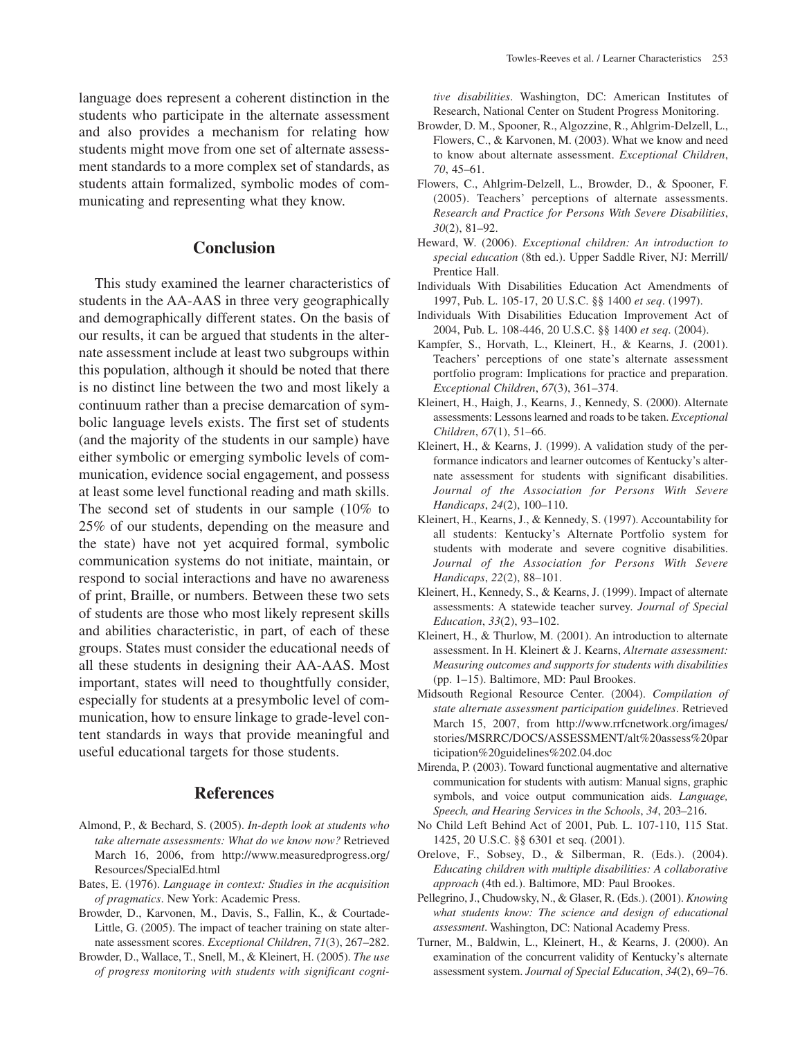# **Conclusion**

This study examined the learner characteristics of students in the AA-AAS in three very geographically and demographically different states. On the basis of our results, it can be argued that students in the alternate assessment include at least two subgroups within this population, although it should be noted that there is no distinct line between the two and most likely a continuum rather than a precise demarcation of symbolic language levels exists. The first set of students (and the majority of the students in our sample) have either symbolic or emerging symbolic levels of communication, evidence social engagement, and possess at least some level functional reading and math skills. The second set of students in our sample (10% to 25% of our students, depending on the measure and the state) have not yet acquired formal, symbolic communication systems do not initiate, maintain, or respond to social interactions and have no awareness of print, Braille, or numbers. Between these two sets of students are those who most likely represent skills and abilities characteristic, in part, of each of these groups. States must consider the educational needs of all these students in designing their AA-AAS. Most important, states will need to thoughtfully consider, especially for students at a presymbolic level of communication, how to ensure linkage to grade-level content standards in ways that provide meaningful and useful educational targets for those students.

# **References**

- Almond, P., & Bechard, S. (2005). *In-depth look at students who take alternate assessments: What do we know now?* Retrieved March 16, 2006, from http://www.measuredprogress.org/ Resources/SpecialEd.html
- Bates, E. (1976). *Language in context: Studies in the acquisition of pragmatics*. New York: Academic Press.
- Browder, D., Karvonen, M., Davis, S., Fallin, K., & Courtade-Little, G. (2005). The impact of teacher training on state alternate assessment scores. *Exceptional Children*, *71*(3), 267–282.
- Browder, D., Wallace, T., Snell, M., & Kleinert, H. (2005). *The use of progress monitoring with students with significant cogni-*

*tive disabilities*. Washington, DC: American Institutes of Research, National Center on Student Progress Monitoring.

- Browder, D. M., Spooner, R., Algozzine, R., Ahlgrim-Delzell, L., Flowers, C., & Karvonen, M. (2003). What we know and need to know about alternate assessment. *Exceptional Children*, *70*, 45–61.
- Flowers, C., Ahlgrim-Delzell, L., Browder, D., & Spooner, F. (2005). Teachers' perceptions of alternate assessments. *Research and Practice for Persons With Severe Disabilities*, *30*(2), 81–92.
- Heward, W. (2006). *Exceptional children: An introduction to special education* (8th ed.). Upper Saddle River, NJ: Merrill/ Prentice Hall.
- Individuals With Disabilities Education Act Amendments of 1997, Pub. L. 105-17, 20 U.S.C. §§ 1400 *et seq*. (1997).
- Individuals With Disabilities Education Improvement Act of 2004, Pub. L. 108-446, 20 U.S.C. §§ 1400 *et seq*. (2004).
- Kampfer, S., Horvath, L., Kleinert, H., & Kearns, J. (2001). Teachers' perceptions of one state's alternate assessment portfolio program: Implications for practice and preparation. *Exceptional Children*, *67*(3), 361–374.
- Kleinert, H., Haigh, J., Kearns, J., Kennedy, S. (2000). Alternate assessments: Lessons learned and roads to be taken. *Exceptional Children*, *67*(1), 51–66.
- Kleinert, H., & Kearns, J. (1999). A validation study of the performance indicators and learner outcomes of Kentucky's alternate assessment for students with significant disabilities. *Journal of the Association for Persons With Severe Handicaps*, *24*(2), 100–110.
- Kleinert, H., Kearns, J., & Kennedy, S. (1997). Accountability for all students: Kentucky's Alternate Portfolio system for students with moderate and severe cognitive disabilities. *Journal of the Association for Persons With Severe Handicaps*, *22*(2), 88–101.
- Kleinert, H., Kennedy, S., & Kearns, J. (1999). Impact of alternate assessments: A statewide teacher survey. *Journal of Special Education*, *33*(2), 93–102.
- Kleinert, H., & Thurlow, M. (2001). An introduction to alternate assessment. In H. Kleinert & J. Kearns, *Alternate assessment: Measuring outcomes and supports for students with disabilities* (pp. 1–15). Baltimore, MD: Paul Brookes.
- Midsouth Regional Resource Center. (2004). *Compilation of state alternate assessment participation guidelines*. Retrieved March 15, 2007, from http://www.rrfcnetwork.org/images/ stories/MSRRC/DOCS/ASSESSMENT/alt%20assess%20par ticipation%20guidelines%202.04.doc
- Mirenda, P. (2003). Toward functional augmentative and alternative communication for students with autism: Manual signs, graphic symbols, and voice output communication aids. *Language, Speech, and Hearing Services in the Schools*, *34*, 203–216.
- No Child Left Behind Act of 2001, Pub. L. 107-110, 115 Stat. 1425, 20 U.S.C. §§ 6301 et seq. (2001).
- Orelove, F., Sobsey, D., & Silberman, R. (Eds.). (2004). *Educating children with multiple disabilities: A collaborative approach* (4th ed.). Baltimore, MD: Paul Brookes.
- Pellegrino, J., Chudowsky, N., & Glaser, R. (Eds.). (2001). *Knowing what students know: The science and design of educational assessment*. Washington, DC: National Academy Press.
- Turner, M., Baldwin, L., Kleinert, H., & Kearns, J. (2000). An examination of the concurrent validity of Kentucky's alternate assessment system. *Journal of Special Education*, *34*(2), 69–76.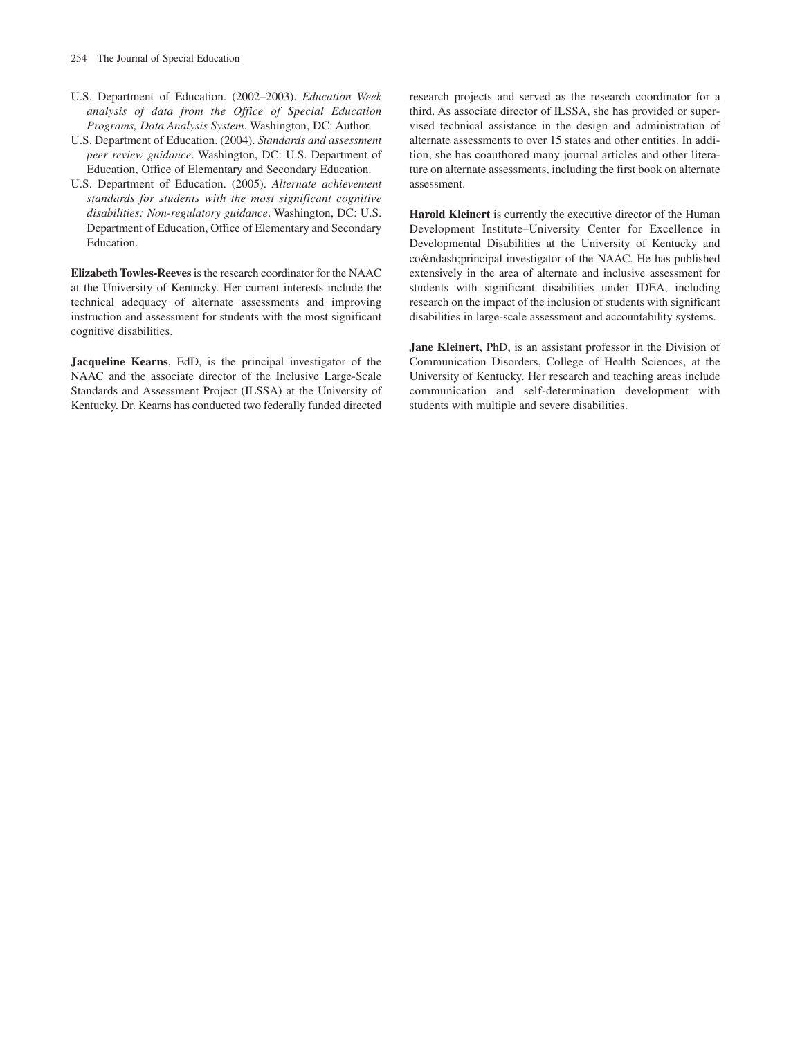- U.S. Department of Education. (2002–2003). *Education Week analysis of data from the Office of Special Education Programs, Data Analysis System*. Washington, DC: Author.
- U.S. Department of Education. (2004). *Standards and assessment peer review guidance*. Washington, DC: U.S. Department of Education, Office of Elementary and Secondary Education.
- U.S. Department of Education. (2005). *Alternate achievement standards for students with the most significant cognitive disabilities: Non-regulatory guidance*. Washington, DC: U.S. Department of Education, Office of Elementary and Secondary Education.

**Elizabeth Towles-Reeves**is the research coordinator for the NAAC at the University of Kentucky. Her current interests include the technical adequacy of alternate assessments and improving instruction and assessment for students with the most significant cognitive disabilities.

**Jacqueline Kearns**, EdD, is the principal investigator of the NAAC and the associate director of the Inclusive Large-Scale Standards and Assessment Project (ILSSA) at the University of Kentucky. Dr. Kearns has conducted two federally funded directed research projects and served as the research coordinator for a third. As associate director of ILSSA, she has provided or supervised technical assistance in the design and administration of alternate assessments to over 15 states and other entities. In addition, she has coauthored many journal articles and other literature on alternate assessments, including the first book on alternate assessment.

**Harold Kleinert** is currently the executive director of the Human Development Institute–University Center for Excellence in Developmental Disabilities at the University of Kentucky and co–principal investigator of the NAAC. He has published extensively in the area of alternate and inclusive assessment for students with significant disabilities under IDEA, including research on the impact of the inclusion of students with significant disabilities in large-scale assessment and accountability systems.

**Jane Kleinert**, PhD, is an assistant professor in the Division of Communication Disorders, College of Health Sciences, at the University of Kentucky. Her research and teaching areas include communication and self-determination development with students with multiple and severe disabilities.